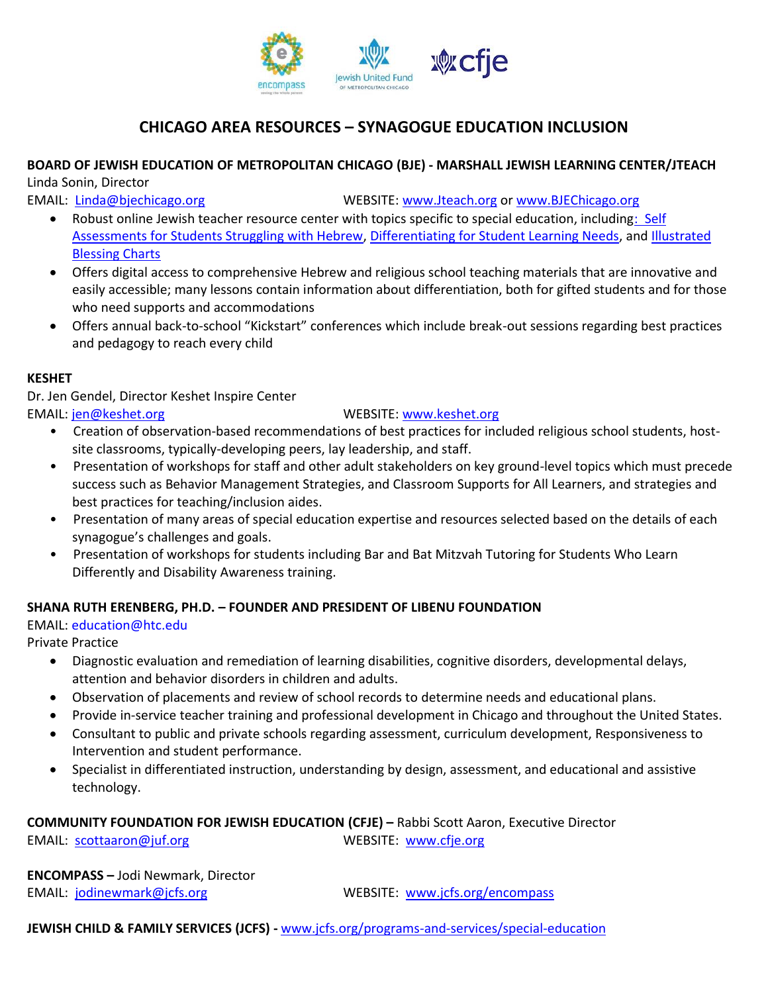

# **CHICAGO AREA RESOURCES – SYNAGOGUE EDUCATION INCLUSION**

# **BOARD OF JEWISH EDUCATION OF METROPOLITAN CHICAGO (BJE) - MARSHALL JEWISH LEARNING CENTER/JTEACH**

Linda Sonin, Director

EMAIL: [Linda@bjechicago.org](mailto:Linda@bjechicago.org) WEBSITE: [www.Jteach.org](http://www.jteach.org/) or www.BJEChicago.org

- Robust online Jewish teacher resource center with topics specific to special education, including: Self [Assessments for Students Struggling with Hebrew,](http://jteach.org/project/self-assessment-for-students-struggling-with-hebrew/) [Differentiating for Student Learning Needs,](http://jteach.org/project/differentiating-for-student-learning-needs/) and [Illustrated](http://jteach.org/project/illustrated-blessing-charts-index/)  [Blessing Charts](http://jteach.org/project/illustrated-blessing-charts-index/)
- Offers digital access to comprehensive Hebrew and religious school teaching materials that are innovative and easily accessible; many lessons contain information about differentiation, both for gifted students and for those who need supports and accommodations
- Offers annual back-to-school "Kickstart" conferences which include break-out sessions regarding best practices and pedagogy to reach every child

### **KESHET**

Dr. Jen Gendel, Director Keshet Inspire Center EMAIL: [jen@keshet.org](mailto:jen@keshet.org) WEBSITE: www[.keshet.org](http://keshet.org/)

- Creation of observation-based recommendations of best practices for included religious school students, hostsite classrooms, typically-developing peers, lay leadership, and staff.
- Presentation of workshops for staff and other adult stakeholders on key ground-level topics which must precede success such as Behavior Management Strategies, and Classroom Supports for All Learners, and strategies and best practices for teaching/inclusion aides.
- Presentation of many areas of special education expertise and resources selected based on the details of each synagogue's challenges and goals.
- Presentation of workshops for students including Bar and Bat Mitzvah Tutoring for Students Who Learn Differently and Disability Awareness training.

## **SHANA RUTH ERENBERG, PH.D. – FOUNDER AND PRESIDENT OF LIBENU FOUNDATION**

### EMAIL: education@htc.edu

Private Practice

- Diagnostic evaluation and remediation of learning disabilities, cognitive disorders, developmental delays, attention and behavior disorders in children and adults.
- Observation of placements and review of school records to determine needs and educational plans.
- Provide in-service teacher training and professional development in Chicago and throughout the United States.
- Consultant to public and private schools regarding assessment, curriculum development, Responsiveness to Intervention and student performance.
- Specialist in differentiated instruction, understanding by design, assessment, and educational and assistive technology.

### **COMMUNITY FOUNDATION FOR JEWISH EDUCATION (CFJE) –** Rabbi Scott Aaron, Executive Director EMAIL: [scottaaron@juf.org](mailto:scottaaron@juf.org) WEBSITE: [www.cfje.org](http://www.cfje.org/)

**ENCOMPASS –** Jodi Newmark, Director EMAIL: [jodinewmark@jcfs.org](mailto:jodinewmark@jcfs.org) WEBSITE: [www.jcfs.org/encompass](http://www.jcfs.org/encompass)